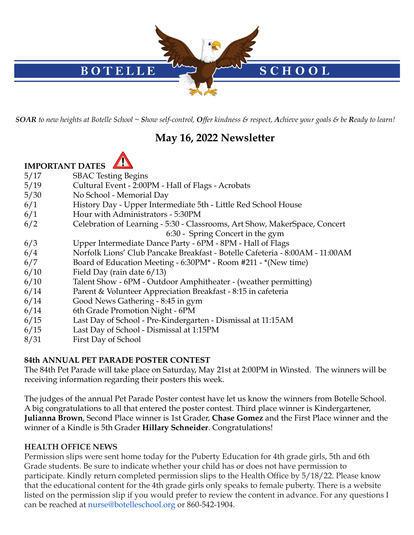

**SOAR** to new heights at Botelle School ~ Show self-control, Offer kindness & respect, Achieve your goals & be Ready to learn!

# **May 16, 2022 Newsletter**



- **IMPORTANT DATES**
- 5/17 SBAC Testing Begins
- 5/19 Cultural Event 2:00PM Hall of Flags Acrobats
- 5/30 No School Memorial Day
- 6/1 History Day Upper Intermediate 5th Little Red School House
- 6/1 Hour with Administrators 5:30PM
- 6/2 Celebration of Learning 5:30 Classrooms, Art Show, MakerSpace, Concert
	- 6:30 Spring Concert in the gym
- 6/3 Upper Intermediate Dance Party 6PM 8PM Hall of Flags
- 6/4 Norfolk Lions' Club Pancake Breakfast Botelle Cafeteria 8:00AM 11:00AM
- 6/7 Board of Education Meeting 6:30PM\* Room #211 \*(New time)
- 6/10 Field Day (rain date 6/13)
- 6/10 Talent Show 6PM Outdoor Amphitheater (weather permitting)
- 6/14 Parent & Volunteer Appreciation Breakfast 8:15 in cafeteria
- 6/14 Good News Gathering 8:45 in gym
- 6/14 6th Grade Promotion Night 6PM
- 6/15 Last Day of School Pre-Kindergarten Dismissal at 11:15AM
- 6/15 Last Day of School Dismissal at 1:15PM
- 8/31 First Day of School

### **84th ANNUAL PET PARADE POSTER CONTEST**

The 84th Pet Parade will take place on Saturday, May 21st at 2:00PM in Winsted. The winners will be receiving information regarding their posters this week.

The judges of the annual Pet Parade Poster contest have let us know the winners from Botelle School. A big congratulations to all that entered the poster contest. Third place winner is Kindergartener, **Julianna Brown**, Second Place winner is 1st Grader, **Chase Gomez** and the First Place winner and the winner of a Kindle is 5th Grader **Hillary Schneider**. Congratulations!

### **HEALTH OFFICE NEWS**

Permission slips were sent home today for the Puberty Education for 4th grade girls, 5th and 6th Grade students. Be sure to indicate whether your child has or does not have permission to participate. Kindly return completed permission slips to the Health Office by 5/18/22. Please know that the educational content for the 4th grade girls only speaks to female puberty. There is a website listed on the permission slip if you would prefer to review the content in advance. For any questions I can be reached at nurse@botelleschool.org or 860-542-1904.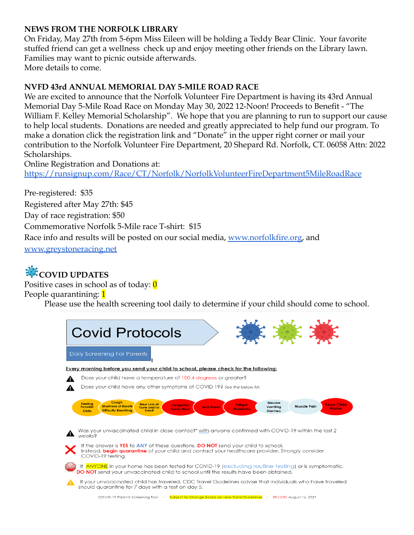#### **NEWS FROM THE NORFOLK LIBRARY**

On Friday, May 27th from 5-6pm Miss Eileen will be holding a Teddy Bear Clinic. Your favorite stuffed friend can get a wellness check up and enjoy meeting other friends on the Library lawn. Families may want to picnic outside afterwards. More details to come.

### **NVFD 43rd ANNUAL MEMORIAL DAY 5-MILE ROAD RACE**

We are excited to announce that the Norfolk Volunteer Fire Department is having its 43rd Annual Memorial Day 5-Mile Road Race on Monday May 30, 2022 12-Noon! Proceeds to Benefit - "The William F. Kelley Memorial Scholarship". We hope that you are planning to run to support our cause to help local students. Donations are needed and greatly appreciated to help fund our program. To make a donation click the registration link and "Donate" in the upper right corner or mail your contribution to the Norfolk Volunteer Fire Department, 20 Shepard Rd. Norfolk, CT. 06058 Attn: 2022 Scholarships.

Online Registration and Donations at: <https://runsignup.com/Race/CT/Norfolk/NorfolkVolunteerFireDepartment5MileRoadRace>

Pre-registered: \$35 Registered after May 27th: \$45 Day of race registration: \$50 Commemorative Norfolk 5-Mile race T-shirt: \$15 Race info and results will be posted on our social media, [www.norfolkfire.org,](http://www.norfolkfire.org) an[d](http://www.greystoneracing.net) [www.greystoneracing.net](http://www.greystoneracing.net)

# **COVID UPDATES**

Positive cases in school as of today:  $\theta$ 

People quarantining: 1

Please use the health screening tool daily to determine if your child should come to school.

| <b>Covid Protocols</b>                                                                                                                                                                                                                                                                                                                                                   |
|--------------------------------------------------------------------------------------------------------------------------------------------------------------------------------------------------------------------------------------------------------------------------------------------------------------------------------------------------------------------------|
| Daily Screening For Parents                                                                                                                                                                                                                                                                                                                                              |
| Every morning before you send your child to school, please check for the following:                                                                                                                                                                                                                                                                                      |
| Does your child have a temperature of 100.4 degrees or greater?                                                                                                                                                                                                                                                                                                          |
| Does your child have any other symptoms of COVID 19? See the below list.                                                                                                                                                                                                                                                                                                 |
| Cough<br>Nausea<br><b>Feeling</b><br><b>New Loss of</b><br><b>Keep Child</b><br><b>Congestion</b><br>Fatigue<br><b>Shortness of Breath</b><br><b>Muscle Pain</b><br>Vomiting<br><b>Feverish</b><br><b>Sore Throat</b><br>Taste and/or<br><b>Home</b><br><b>Runny Nose</b><br><b>Headache</b><br><b>Difficulty Breathing</b><br><b>Smell</b><br><b>Chills</b><br>Diarrhea |
| Was your unvaccinated child in close contact* with anyone confirmed with COVID-19 within the last 2<br>weeks <sub>8</sub>                                                                                                                                                                                                                                                |
| If the answer is YES to ANY of these questions, DO NOT send your child to school.<br>Instead, begin quarantine of your child and contact your healthcare provider. Strongly consider<br>COVID-19 testina.                                                                                                                                                                |
| If ANYONE in your home has been tested for COVID-19 (excluding routine testing) or is symptomatic,<br><b>DO NOT</b> send your unvaccinated child to school until the results have been obtained.                                                                                                                                                                         |
| If your unvaccinated child has traveled, CDC Travel Guidelines advise that individuals who have traveled<br>should quarantine for 7 days with a test on day 5.                                                                                                                                                                                                           |
| COVID-19 Parents Screening Tool - Subject to Change Based on New Data/Guidelines - REVISED August 16, 2021                                                                                                                                                                                                                                                               |